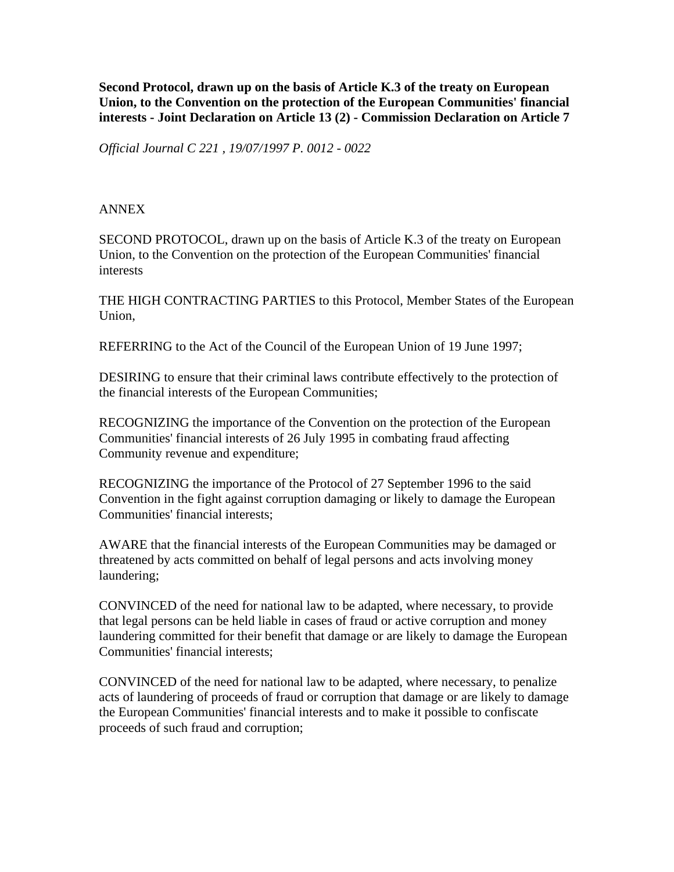**Second Protocol, drawn up on the basis of Article K.3 of the treaty on European Union, to the Convention on the protection of the European Communities' financial interests - Joint Declaration on Article 13 (2) - Commission Declaration on Article 7** 

*Official Journal C 221 , 19/07/1997 P. 0012 - 0022*

## ANNEX

SECOND PROTOCOL, drawn up on the basis of Article K.3 of the treaty on European Union, to the Convention on the protection of the European Communities' financial interests

THE HIGH CONTRACTING PARTIES to this Protocol, Member States of the European Union,

REFERRING to the Act of the Council of the European Union of 19 June 1997;

DESIRING to ensure that their criminal laws contribute effectively to the protection of the financial interests of the European Communities;

RECOGNIZING the importance of the Convention on the protection of the European Communities' financial interests of 26 July 1995 in combating fraud affecting Community revenue and expenditure;

RECOGNIZING the importance of the Protocol of 27 September 1996 to the said Convention in the fight against corruption damaging or likely to damage the European Communities' financial interests;

AWARE that the financial interests of the European Communities may be damaged or threatened by acts committed on behalf of legal persons and acts involving money laundering;

CONVINCED of the need for national law to be adapted, where necessary, to provide that legal persons can be held liable in cases of fraud or active corruption and money laundering committed for their benefit that damage or are likely to damage the European Communities' financial interests;

CONVINCED of the need for national law to be adapted, where necessary, to penalize acts of laundering of proceeds of fraud or corruption that damage or are likely to damage the European Communities' financial interests and to make it possible to confiscate proceeds of such fraud and corruption;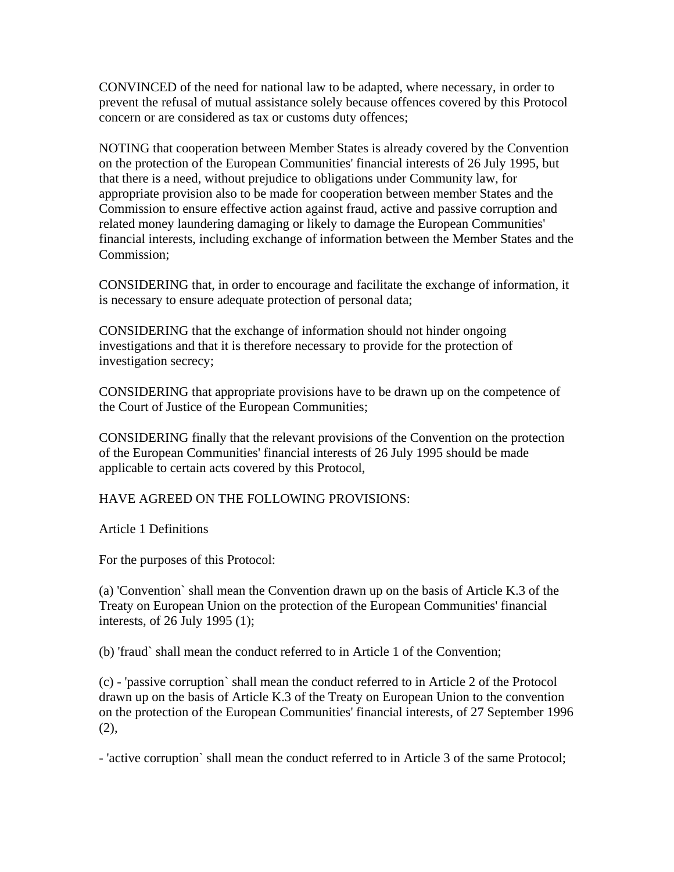CONVINCED of the need for national law to be adapted, where necessary, in order to prevent the refusal of mutual assistance solely because offences covered by this Protocol concern or are considered as tax or customs duty offences;

NOTING that cooperation between Member States is already covered by the Convention on the protection of the European Communities' financial interests of 26 July 1995, but that there is a need, without prejudice to obligations under Community law, for appropriate provision also to be made for cooperation between member States and the Commission to ensure effective action against fraud, active and passive corruption and related money laundering damaging or likely to damage the European Communities' financial interests, including exchange of information between the Member States and the Commission;

CONSIDERING that, in order to encourage and facilitate the exchange of information, it is necessary to ensure adequate protection of personal data;

CONSIDERING that the exchange of information should not hinder ongoing investigations and that it is therefore necessary to provide for the protection of investigation secrecy;

CONSIDERING that appropriate provisions have to be drawn up on the competence of the Court of Justice of the European Communities;

CONSIDERING finally that the relevant provisions of the Convention on the protection of the European Communities' financial interests of 26 July 1995 should be made applicable to certain acts covered by this Protocol,

HAVE AGREED ON THE FOLLOWING PROVISIONS:

Article 1 Definitions

For the purposes of this Protocol:

(a) 'Convention` shall mean the Convention drawn up on the basis of Article K.3 of the Treaty on European Union on the protection of the European Communities' financial interests, of 26 July 1995 (1);

(b) 'fraud` shall mean the conduct referred to in Article 1 of the Convention;

(c) - 'passive corruption` shall mean the conduct referred to in Article 2 of the Protocol drawn up on the basis of Article K.3 of the Treaty on European Union to the convention on the protection of the European Communities' financial interests, of 27 September 1996  $(2)$ ,

- 'active corruption` shall mean the conduct referred to in Article 3 of the same Protocol;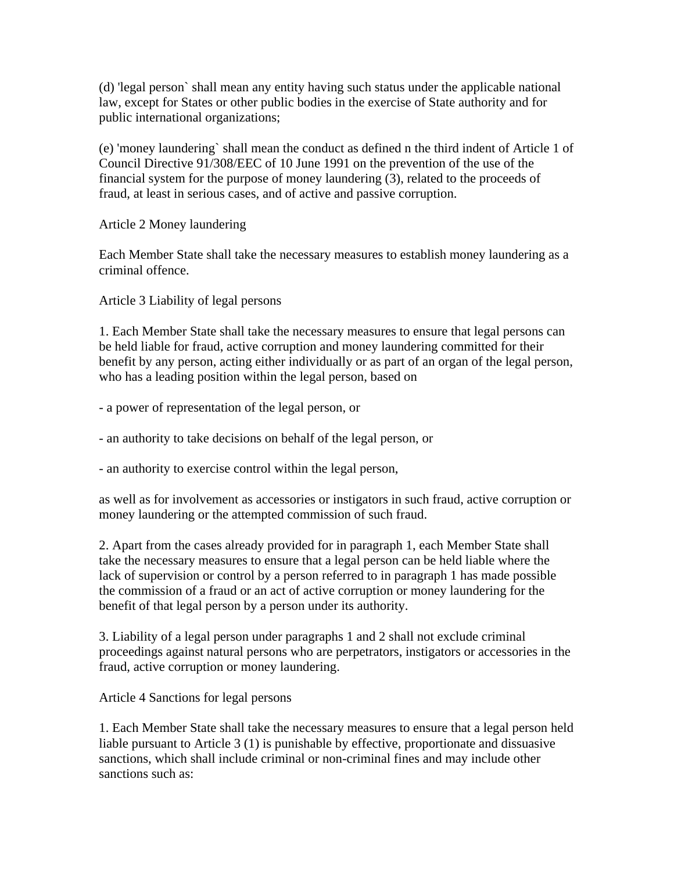(d) 'legal person` shall mean any entity having such status under the applicable national law, except for States or other public bodies in the exercise of State authority and for public international organizations;

(e) 'money laundering` shall mean the conduct as defined n the third indent of Article 1 of Council Directive 91/308/EEC of 10 June 1991 on the prevention of the use of the financial system for the purpose of money laundering (3), related to the proceeds of fraud, at least in serious cases, and of active and passive corruption.

Article 2 Money laundering

Each Member State shall take the necessary measures to establish money laundering as a criminal offence.

Article 3 Liability of legal persons

1. Each Member State shall take the necessary measures to ensure that legal persons can be held liable for fraud, active corruption and money laundering committed for their benefit by any person, acting either individually or as part of an organ of the legal person, who has a leading position within the legal person, based on

- a power of representation of the legal person, or

- an authority to take decisions on behalf of the legal person, or

- an authority to exercise control within the legal person,

as well as for involvement as accessories or instigators in such fraud, active corruption or money laundering or the attempted commission of such fraud.

2. Apart from the cases already provided for in paragraph 1, each Member State shall take the necessary measures to ensure that a legal person can be held liable where the lack of supervision or control by a person referred to in paragraph 1 has made possible the commission of a fraud or an act of active corruption or money laundering for the benefit of that legal person by a person under its authority.

3. Liability of a legal person under paragraphs 1 and 2 shall not exclude criminal proceedings against natural persons who are perpetrators, instigators or accessories in the fraud, active corruption or money laundering.

Article 4 Sanctions for legal persons

1. Each Member State shall take the necessary measures to ensure that a legal person held liable pursuant to Article 3 (1) is punishable by effective, proportionate and dissuasive sanctions, which shall include criminal or non-criminal fines and may include other sanctions such as: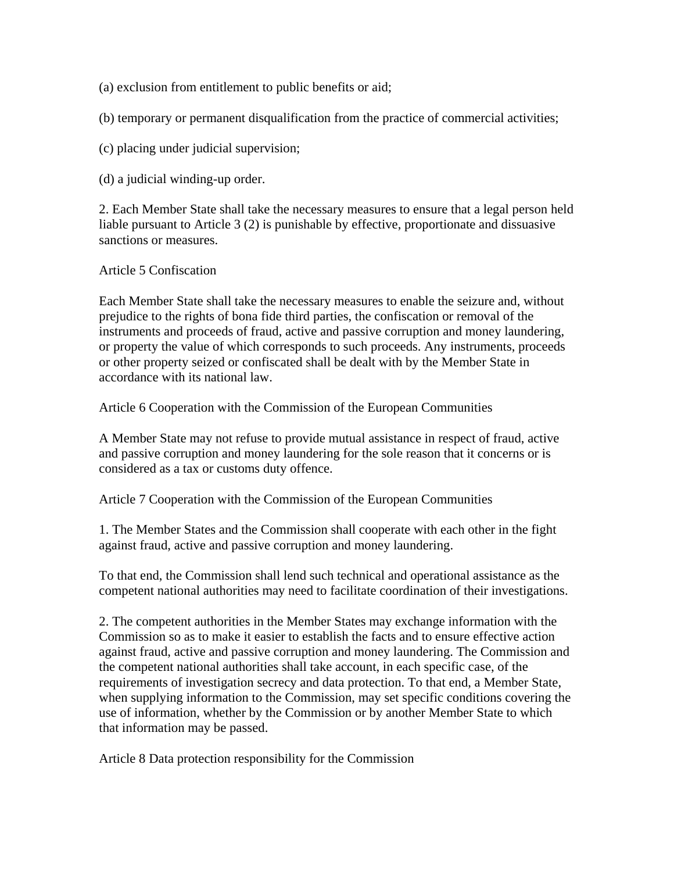(a) exclusion from entitlement to public benefits or aid;

(b) temporary or permanent disqualification from the practice of commercial activities;

(c) placing under judicial supervision;

(d) a judicial winding-up order.

2. Each Member State shall take the necessary measures to ensure that a legal person held liable pursuant to Article 3 (2) is punishable by effective, proportionate and dissuasive sanctions or measures.

## Article 5 Confiscation

Each Member State shall take the necessary measures to enable the seizure and, without prejudice to the rights of bona fide third parties, the confiscation or removal of the instruments and proceeds of fraud, active and passive corruption and money laundering, or property the value of which corresponds to such proceeds. Any instruments, proceeds or other property seized or confiscated shall be dealt with by the Member State in accordance with its national law.

Article 6 Cooperation with the Commission of the European Communities

A Member State may not refuse to provide mutual assistance in respect of fraud, active and passive corruption and money laundering for the sole reason that it concerns or is considered as a tax or customs duty offence.

Article 7 Cooperation with the Commission of the European Communities

1. The Member States and the Commission shall cooperate with each other in the fight against fraud, active and passive corruption and money laundering.

To that end, the Commission shall lend such technical and operational assistance as the competent national authorities may need to facilitate coordination of their investigations.

2. The competent authorities in the Member States may exchange information with the Commission so as to make it easier to establish the facts and to ensure effective action against fraud, active and passive corruption and money laundering. The Commission and the competent national authorities shall take account, in each specific case, of the requirements of investigation secrecy and data protection. To that end, a Member State, when supplying information to the Commission, may set specific conditions covering the use of information, whether by the Commission or by another Member State to which that information may be passed.

Article 8 Data protection responsibility for the Commission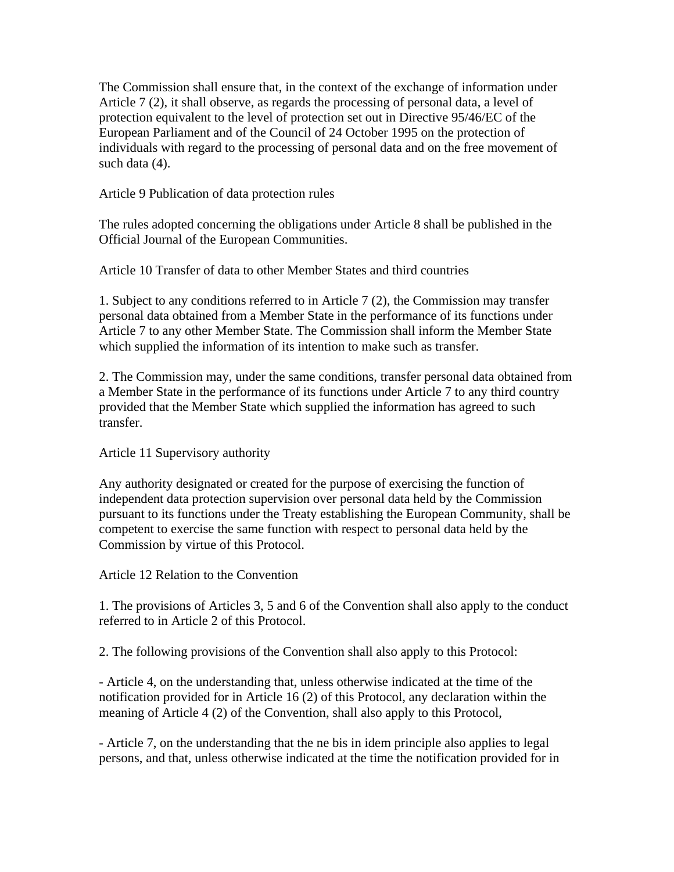The Commission shall ensure that, in the context of the exchange of information under Article 7 (2), it shall observe, as regards the processing of personal data, a level of protection equivalent to the level of protection set out in Directive 95/46/EC of the European Parliament and of the Council of 24 October 1995 on the protection of individuals with regard to the processing of personal data and on the free movement of such data (4).

Article 9 Publication of data protection rules

The rules adopted concerning the obligations under Article 8 shall be published in the Official Journal of the European Communities.

Article 10 Transfer of data to other Member States and third countries

1. Subject to any conditions referred to in Article 7 (2), the Commission may transfer personal data obtained from a Member State in the performance of its functions under Article 7 to any other Member State. The Commission shall inform the Member State which supplied the information of its intention to make such as transfer.

2. The Commission may, under the same conditions, transfer personal data obtained from a Member State in the performance of its functions under Article 7 to any third country provided that the Member State which supplied the information has agreed to such transfer.

Article 11 Supervisory authority

Any authority designated or created for the purpose of exercising the function of independent data protection supervision over personal data held by the Commission pursuant to its functions under the Treaty establishing the European Community, shall be competent to exercise the same function with respect to personal data held by the Commission by virtue of this Protocol.

Article 12 Relation to the Convention

1. The provisions of Articles 3, 5 and 6 of the Convention shall also apply to the conduct referred to in Article 2 of this Protocol.

2. The following provisions of the Convention shall also apply to this Protocol:

- Article 4, on the understanding that, unless otherwise indicated at the time of the notification provided for in Article 16 (2) of this Protocol, any declaration within the meaning of Article 4 (2) of the Convention, shall also apply to this Protocol,

- Article 7, on the understanding that the ne bis in idem principle also applies to legal persons, and that, unless otherwise indicated at the time the notification provided for in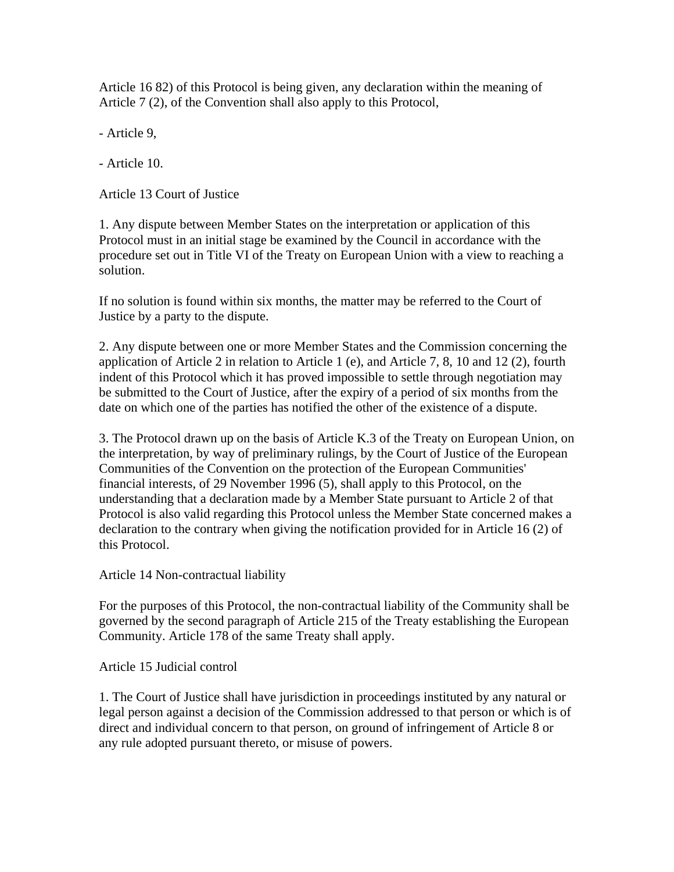Article 16 82) of this Protocol is being given, any declaration within the meaning of Article 7 (2), of the Convention shall also apply to this Protocol,

- Article 9,

- Article 10.

Article 13 Court of Justice

1. Any dispute between Member States on the interpretation or application of this Protocol must in an initial stage be examined by the Council in accordance with the procedure set out in Title VI of the Treaty on European Union with a view to reaching a solution.

If no solution is found within six months, the matter may be referred to the Court of Justice by a party to the dispute.

2. Any dispute between one or more Member States and the Commission concerning the application of Article 2 in relation to Article 1 (e), and Article 7, 8, 10 and 12 (2), fourth indent of this Protocol which it has proved impossible to settle through negotiation may be submitted to the Court of Justice, after the expiry of a period of six months from the date on which one of the parties has notified the other of the existence of a dispute.

3. The Protocol drawn up on the basis of Article K.3 of the Treaty on European Union, on the interpretation, by way of preliminary rulings, by the Court of Justice of the European Communities of the Convention on the protection of the European Communities' financial interests, of 29 November 1996 (5), shall apply to this Protocol, on the understanding that a declaration made by a Member State pursuant to Article 2 of that Protocol is also valid regarding this Protocol unless the Member State concerned makes a declaration to the contrary when giving the notification provided for in Article 16 (2) of this Protocol.

Article 14 Non-contractual liability

For the purposes of this Protocol, the non-contractual liability of the Community shall be governed by the second paragraph of Article 215 of the Treaty establishing the European Community. Article 178 of the same Treaty shall apply.

Article 15 Judicial control

1. The Court of Justice shall have jurisdiction in proceedings instituted by any natural or legal person against a decision of the Commission addressed to that person or which is of direct and individual concern to that person, on ground of infringement of Article 8 or any rule adopted pursuant thereto, or misuse of powers.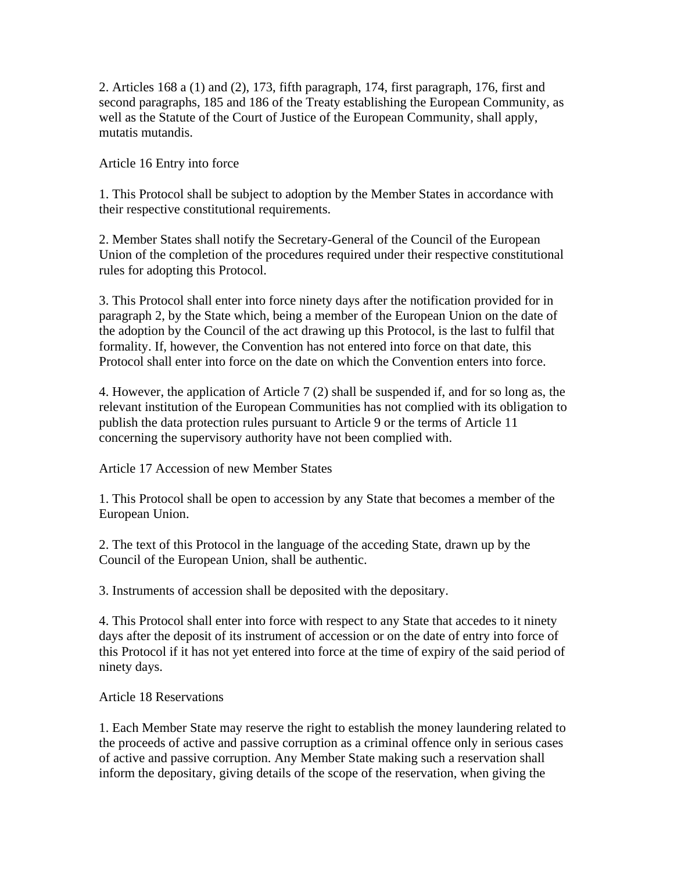2. Articles 168 a (1) and (2), 173, fifth paragraph, 174, first paragraph, 176, first and second paragraphs, 185 and 186 of the Treaty establishing the European Community, as well as the Statute of the Court of Justice of the European Community, shall apply, mutatis mutandis.

Article 16 Entry into force

1. This Protocol shall be subject to adoption by the Member States in accordance with their respective constitutional requirements.

2. Member States shall notify the Secretary-General of the Council of the European Union of the completion of the procedures required under their respective constitutional rules for adopting this Protocol.

3. This Protocol shall enter into force ninety days after the notification provided for in paragraph 2, by the State which, being a member of the European Union on the date of the adoption by the Council of the act drawing up this Protocol, is the last to fulfil that formality. If, however, the Convention has not entered into force on that date, this Protocol shall enter into force on the date on which the Convention enters into force.

4. However, the application of Article 7 (2) shall be suspended if, and for so long as, the relevant institution of the European Communities has not complied with its obligation to publish the data protection rules pursuant to Article 9 or the terms of Article 11 concerning the supervisory authority have not been complied with.

Article 17 Accession of new Member States

1. This Protocol shall be open to accession by any State that becomes a member of the European Union.

2. The text of this Protocol in the language of the acceding State, drawn up by the Council of the European Union, shall be authentic.

3. Instruments of accession shall be deposited with the depositary.

4. This Protocol shall enter into force with respect to any State that accedes to it ninety days after the deposit of its instrument of accession or on the date of entry into force of this Protocol if it has not yet entered into force at the time of expiry of the said period of ninety days.

Article 18 Reservations

1. Each Member State may reserve the right to establish the money laundering related to the proceeds of active and passive corruption as a criminal offence only in serious cases of active and passive corruption. Any Member State making such a reservation shall inform the depositary, giving details of the scope of the reservation, when giving the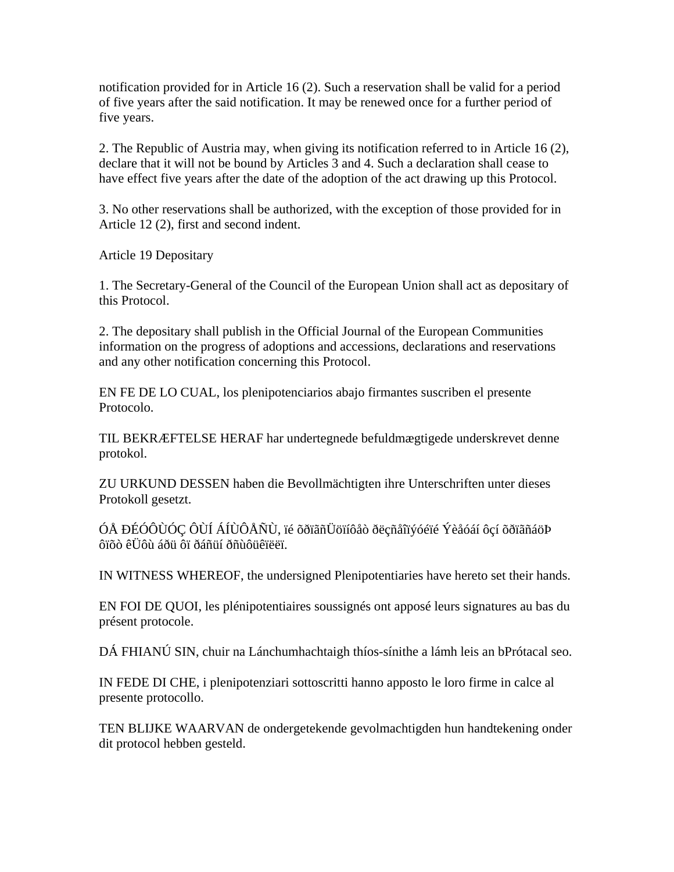notification provided for in Article 16 (2). Such a reservation shall be valid for a period of five years after the said notification. It may be renewed once for a further period of five years.

2. The Republic of Austria may, when giving its notification referred to in Article 16 (2), declare that it will not be bound by Articles 3 and 4. Such a declaration shall cease to have effect five years after the date of the adoption of the act drawing up this Protocol.

3. No other reservations shall be authorized, with the exception of those provided for in Article 12 (2), first and second indent.

Article 19 Depositary

1. The Secretary-General of the Council of the European Union shall act as depositary of this Protocol.

2. The depositary shall publish in the Official Journal of the European Communities information on the progress of adoptions and accessions, declarations and reservations and any other notification concerning this Protocol.

EN FE DE LO CUAL, los plenipotenciarios abajo firmantes suscriben el presente Protocolo.

TIL BEKRÆFTELSE HERAF har undertegnede befuldmægtigede underskrevet denne protokol.

ZU URKUND DESSEN haben die Bevollmächtigten ihre Unterschriften unter dieses Protokoll gesetzt.

ÓÅ ÐÉÓÔÙÓÇ ÔÙÍ ÁÍÙÔÅÑÙ, ïé õðïãñÜöïíôåò ðëçñåîïýóéïé Ýèåóáí ôçí õðïãñáöÞ ôïõò êÜôù áðü ôï ðáñüí ðñùôüêïëëï.

IN WITNESS WHEREOF, the undersigned Plenipotentiaries have hereto set their hands.

EN FOI DE QUOI, les plénipotentiaires soussignés ont apposé leurs signatures au bas du présent protocole.

DÁ FHIANÚ SIN, chuir na Lánchumhachtaigh thíos-sínithe a lámh leis an bPrótacal seo.

IN FEDE DI CHE, i plenipotenziari sottoscritti hanno apposto le loro firme in calce al presente protocollo.

TEN BLIJKE WAARVAN de ondergetekende gevolmachtigden hun handtekening onder dit protocol hebben gesteld.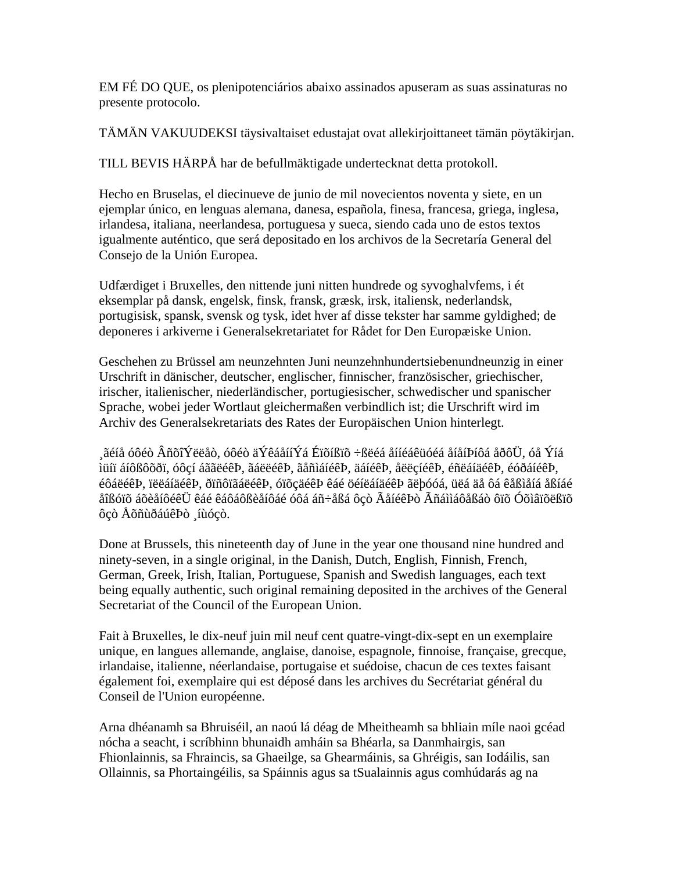EM FÉ DO QUE, os plenipotenciários abaixo assinados apuseram as suas assinaturas no presente protocolo.

TÄMÄN VAKUUDEKSI täysivaltaiset edustajat ovat allekirjoittaneet tämän pöytäkirjan.

TILL BEVIS HÄRPÅ har de befullmäktigade undertecknat detta protokoll.

Hecho en Bruselas, el diecinueve de junio de mil novecientos noventa y siete, en un ejemplar único, en lenguas alemana, danesa, española, finesa, francesa, griega, inglesa, irlandesa, italiana, neerlandesa, portuguesa y sueca, siendo cada uno de estos textos igualmente auténtico, que será depositado en los archivos de la Secretaría General del Consejo de la Unión Europea.

Udfærdiget i Bruxelles, den nittende juni nitten hundrede og syvoghalvfems, i ét eksemplar på dansk, engelsk, finsk, fransk, græsk, irsk, italiensk, nederlandsk, portugisisk, spansk, svensk og tysk, idet hver af disse tekster har samme gyldighed; de deponeres i arkiverne i Generalsekretariatet for Rådet for Den Europæiske Union.

Geschehen zu Brüssel am neunzehnten Juni neunzehnhundertsiebenundneunzig in einer Urschrift in dänischer, deutscher, englischer, finnischer, französischer, griechischer, irischer, italienischer, niederländischer, portugiesischer, schwedischer und spanischer Sprache, wobei jeder Wortlaut gleichermaßen verbindlich ist; die Urschrift wird im Archiv des Generalsekretariats des Rates der Europäischen Union hinterlegt.

 $\sim$ ãéíå óôéò ÂñõîÝëëåò, óôéò äÝêáåííÝá Éïõíßïõ ÷ßëéá åííéáêüóéá åíåíÞíôá åðôÜ, óå Ýíá ìüíï áíôßôõðï, óôçí áããëéêÞ, ãáëëéêÞ, ãåñìáíéêÞ, äáíéêÞ, åëëçíéêÞ, éñëáíäéêÞ, éóðáíéêÞ, éôáëéêÞ, ïëëáíäéêÞ, ðïñôïãáëéêÞ, óïõçäéêÞ êáé öéíëáíäéêÞ ãëþóóá, üëá äå ôá êåßìåíá åßíáé åîßóïõ áõèåíôéêÜ êáé êáôáôßèåíôáé óôá áñ÷åßá ôçò ÃåíéêÞò Ãñáììáôåßáò ôïõ Óõìâïõëßïõ ôçò ÅõñùðáúêÞò ¸íùóçò.

Done at Brussels, this nineteenth day of June in the year one thousand nine hundred and ninety-seven, in a single original, in the Danish, Dutch, English, Finnish, French, German, Greek, Irish, Italian, Portuguese, Spanish and Swedish languages, each text being equally authentic, such original remaining deposited in the archives of the General Secretariat of the Council of the European Union.

Fait à Bruxelles, le dix-neuf juin mil neuf cent quatre-vingt-dix-sept en un exemplaire unique, en langues allemande, anglaise, danoise, espagnole, finnoise, française, grecque, irlandaise, italienne, néerlandaise, portugaise et suédoise, chacun de ces textes faisant également foi, exemplaire qui est déposé dans les archives du Secrétariat général du Conseil de l'Union européenne.

Arna dhéanamh sa Bhruiséil, an naoú lá déag de Mheitheamh sa bhliain míle naoi gcéad nócha a seacht, i scríbhinn bhunaidh amháin sa Bhéarla, sa Danmhairgis, san Fhionlainnis, sa Fhraincis, sa Ghaeilge, sa Ghearmáinis, sa Ghréigis, san Iodáilis, san Ollainnis, sa Phortaingéilis, sa Spáinnis agus sa tSualainnis agus comhúdarás ag na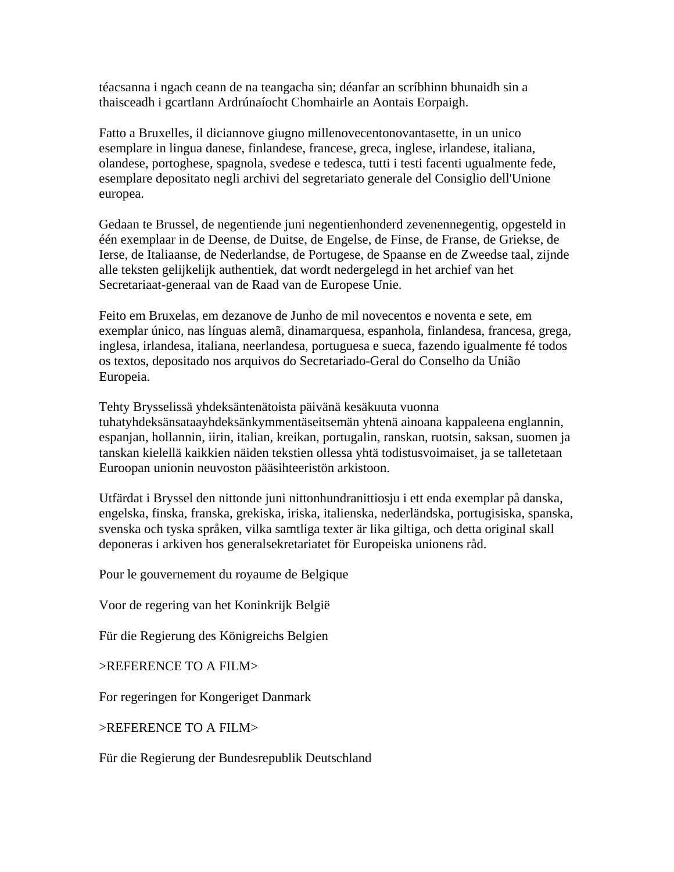téacsanna i ngach ceann de na teangacha sin; déanfar an scríbhinn bhunaidh sin a thaisceadh i gcartlann Ardrúnaíocht Chomhairle an Aontais Eorpaigh.

Fatto a Bruxelles, il diciannove giugno millenovecentonovantasette, in un unico esemplare in lingua danese, finlandese, francese, greca, inglese, irlandese, italiana, olandese, portoghese, spagnola, svedese e tedesca, tutti i testi facenti ugualmente fede, esemplare depositato negli archivi del segretariato generale del Consiglio dell'Unione europea.

Gedaan te Brussel, de negentiende juni negentienhonderd zevenennegentig, opgesteld in één exemplaar in de Deense, de Duitse, de Engelse, de Finse, de Franse, de Griekse, de Ierse, de Italiaanse, de Nederlandse, de Portugese, de Spaanse en de Zweedse taal, zijnde alle teksten gelijkelijk authentiek, dat wordt nedergelegd in het archief van het Secretariaat-generaal van de Raad van de Europese Unie.

Feito em Bruxelas, em dezanove de Junho de mil novecentos e noventa e sete, em exemplar único, nas línguas alemã, dinamarquesa, espanhola, finlandesa, francesa, grega, inglesa, irlandesa, italiana, neerlandesa, portuguesa e sueca, fazendo igualmente fé todos os textos, depositado nos arquivos do Secretariado-Geral do Conselho da União Europeia.

Tehty Brysselissä yhdeksäntenätoista päivänä kesäkuuta vuonna tuhatyhdeksänsataayhdeksänkymmentäseitsemän yhtenä ainoana kappaleena englannin, espanjan, hollannin, iirin, italian, kreikan, portugalin, ranskan, ruotsin, saksan, suomen ja tanskan kielellä kaikkien näiden tekstien ollessa yhtä todistusvoimaiset, ja se talletetaan Euroopan unionin neuvoston pääsihteeristön arkistoon.

Utfärdat i Bryssel den nittonde juni nittonhundranittiosju i ett enda exemplar på danska, engelska, finska, franska, grekiska, iriska, italienska, nederländska, portugisiska, spanska, svenska och tyska språken, vilka samtliga texter är lika giltiga, och detta original skall deponeras i arkiven hos generalsekretariatet för Europeiska unionens råd.

Pour le gouvernement du royaume de Belgique

Voor de regering van het Koninkrijk België

Für die Regierung des Königreichs Belgien

>REFERENCE TO A FILM>

For regeringen for Kongeriget Danmark

>REFERENCE TO A FILM>

Für die Regierung der Bundesrepublik Deutschland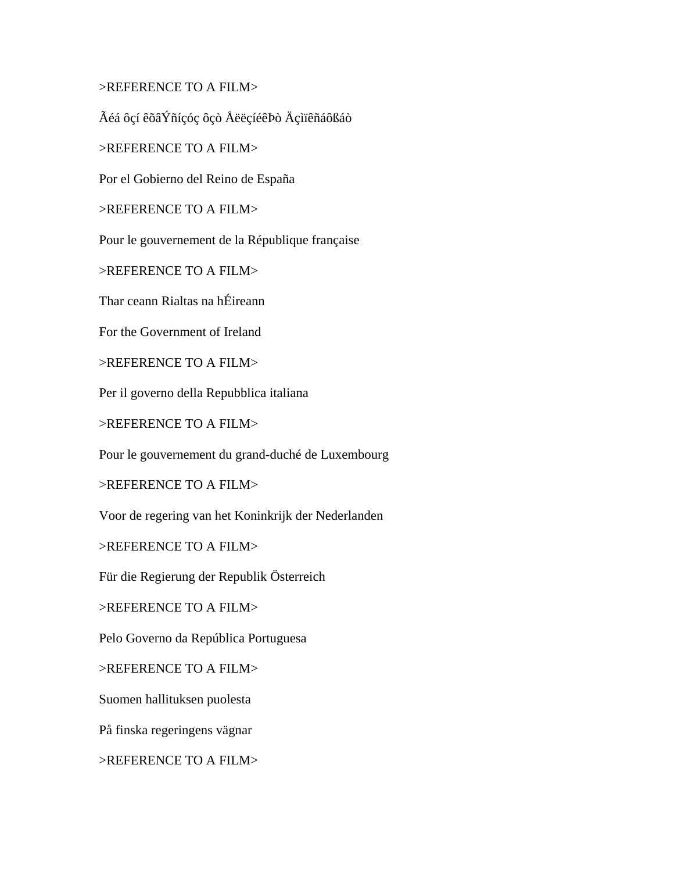>REFERENCE TO A FILM>

Ãéá ôçí êõâÝñíçóç ôçò ÅëëçíéêÞò Äçìïêñáôßáò

>REFERENCE TO A FILM>

Por el Gobierno del Reino de España

>REFERENCE TO A FILM>

Pour le gouvernement de la République française

>REFERENCE TO A FILM>

Thar ceann Rialtas na hÉireann

For the Government of Ireland

>REFERENCE TO A FILM>

Per il governo della Repubblica italiana

>REFERENCE TO A FILM>

Pour le gouvernement du grand-duché de Luxembourg

>REFERENCE TO A FILM>

Voor de regering van het Koninkrijk der Nederlanden

>REFERENCE TO A FILM>

Für die Regierung der Republik Österreich

>REFERENCE TO A FILM>

Pelo Governo da República Portuguesa

>REFERENCE TO A FILM>

Suomen hallituksen puolesta

På finska regeringens vägnar

>REFERENCE TO A FILM>